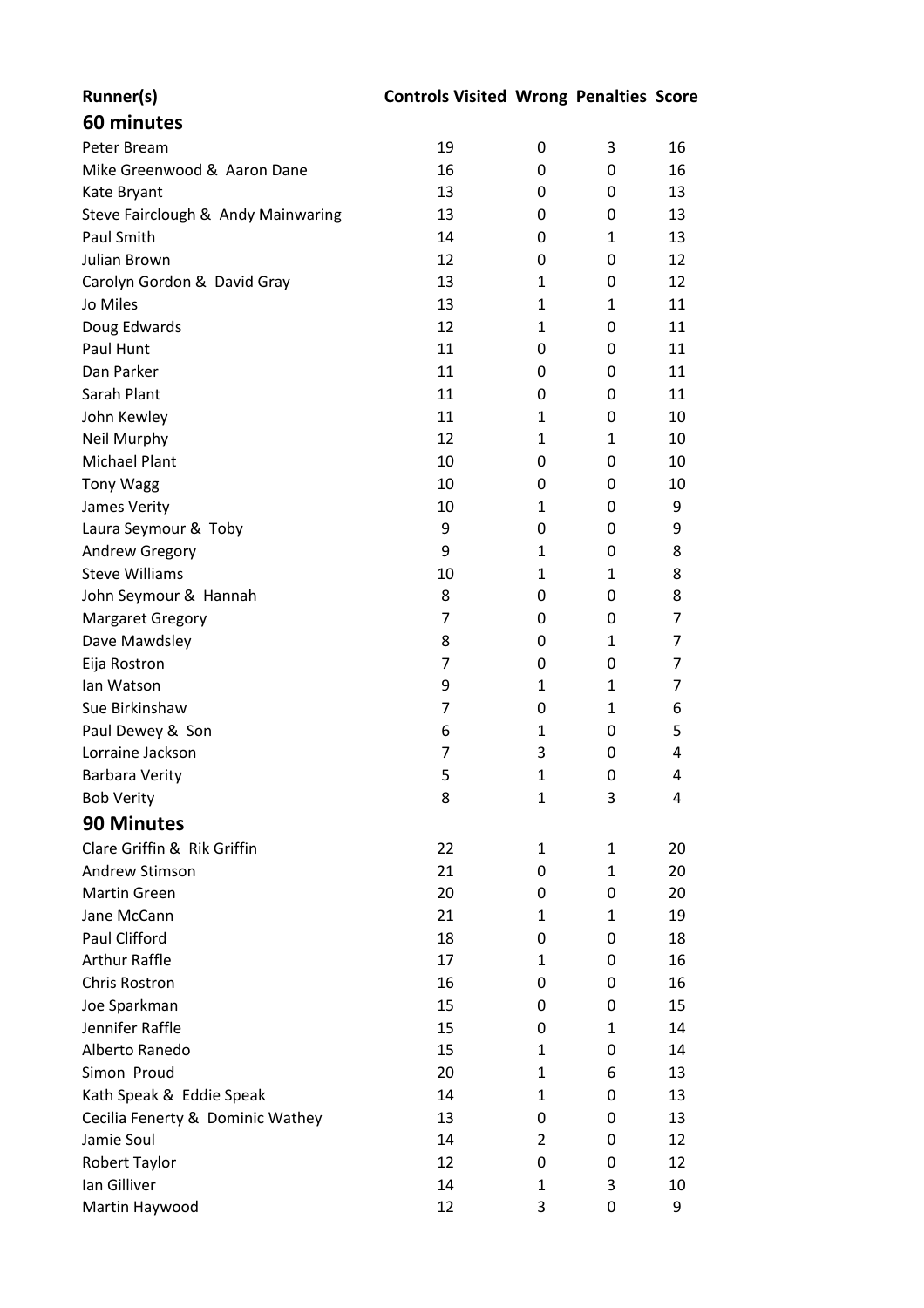| Runner(s)                                      | <b>Controls Visited Wrong Penalties Score</b> |              |              |    |
|------------------------------------------------|-----------------------------------------------|--------------|--------------|----|
| 60 minutes                                     |                                               |              |              |    |
| Peter Bream                                    | 19                                            | 0            | 3            | 16 |
| Mike Greenwood & Aaron Dane                    | 16                                            | 0            | 0            | 16 |
| Kate Bryant                                    | 13                                            | 0            | 0            | 13 |
| Steve Fairclough & Andy Mainwaring             | 13                                            | 0            | 0            | 13 |
| Paul Smith                                     | 14                                            | 0            | 1            | 13 |
| <b>Julian Brown</b>                            | 12                                            | 0            | 0            | 12 |
| Carolyn Gordon & David Gray                    | 13                                            | 1            | 0            | 12 |
| Jo Miles                                       | 13                                            | $\mathbf{1}$ | 1            | 11 |
| Doug Edwards                                   | 12                                            | $\mathbf{1}$ | 0            | 11 |
| Paul Hunt                                      | 11                                            | 0            | 0            | 11 |
| Dan Parker                                     | 11                                            | 0            | 0            | 11 |
| Sarah Plant                                    | 11                                            | 0            | 0            | 11 |
| John Kewley                                    | 11                                            | 1            | 0            | 10 |
| Neil Murphy                                    | 12                                            | $\mathbf{1}$ | $\mathbf{1}$ | 10 |
| <b>Michael Plant</b>                           |                                               |              |              |    |
|                                                | 10                                            | 0            | 0            | 10 |
| <b>Tony Wagg</b>                               | 10                                            | 0            | 0            | 10 |
| James Verity                                   | 10                                            | 1            | 0            | 9  |
| Laura Seymour & Toby                           | 9                                             | $\Omega$     | 0            | 9  |
| Andrew Gregory                                 | 9                                             | 1            | 0            | 8  |
| <b>Steve Williams</b>                          | 10                                            | $\mathbf{1}$ | 1            | 8  |
| John Seymour & Hannah                          | 8                                             | 0            | 0            | 8  |
| <b>Margaret Gregory</b>                        | 7                                             | 0            | 0            | 7  |
| Dave Mawdsley                                  | 8                                             | 0            | 1            | 7  |
| Eija Rostron                                   | 7                                             | 0            | 0            | 7  |
| Ian Watson                                     | 9                                             | $\mathbf{1}$ | 1            | 7  |
| Sue Birkinshaw                                 | 7                                             | 0            | $\mathbf{1}$ | 6  |
| Paul Dewey & Son                               | 6                                             | 1            | 0            | 5  |
| Lorraine Jackson                               | 7                                             | 3            | $\mathbf 0$  | 4  |
| <b>Barbara Verity</b>                          | 5                                             | 1            | $\pmb{0}$    | 4  |
| <b>Bob Verity</b>                              | 8                                             | 1            | 3            | 4  |
| <b>90 Minutes</b>                              |                                               |              |              |    |
| Clare Griffin & Rik Griffin                    | 22                                            | 1            | $\mathbf{1}$ | 20 |
| Andrew Stimson                                 | 21                                            | 0            | 1            | 20 |
| <b>Martin Green</b>                            | 20                                            | $\Omega$     | $\Omega$     | 20 |
| Jane McCann                                    | 21                                            | 1            | 1            | 19 |
| Paul Clifford                                  | 18                                            | 0            | $\Omega$     | 18 |
| <b>Arthur Raffle</b>                           | 17                                            | $\mathbf{1}$ | 0            | 16 |
| Chris Rostron                                  | 16                                            | $\Omega$     | 0            | 16 |
| Joe Sparkman                                   | 15                                            | 0            | 0            | 15 |
| Jennifer Raffle                                | 15                                            | 0            | 1            | 14 |
| Alberto Ranedo                                 | 15                                            | 1            | 0            | 14 |
| Simon Proud                                    | 20                                            | 1            | 6            | 13 |
| Kath Speak & Eddie Speak                       | 14                                            | $\mathbf{1}$ | 0            | 13 |
|                                                | 13                                            | 0            | 0            | 13 |
| Cecilia Fenerty & Dominic Wathey<br>Jamie Soul | 14                                            | 2            | 0            | 12 |
|                                                |                                               |              |              |    |
| Robert Taylor                                  | 12                                            | 0            | 0            | 12 |
| Ian Gilliver                                   | 14                                            | 1            | 3            | 10 |
| Martin Haywood                                 | 12                                            | 3            | $\mathbf 0$  | 9  |